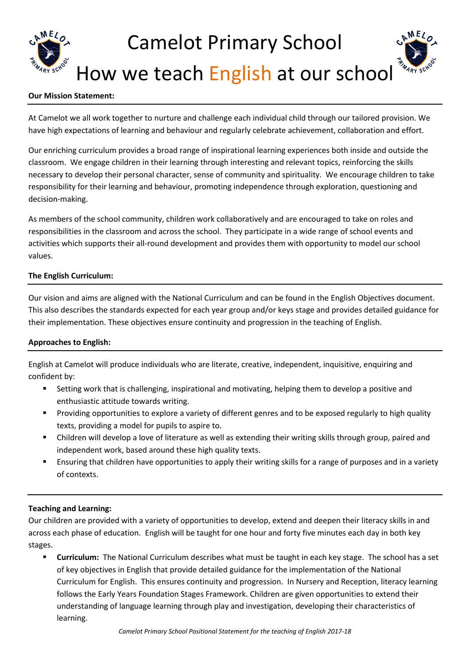# Camelot Primary School How we teach English at our school

## **Our Mission Statement:**

At Camelot we all work together to nurture and challenge each individual child through our tailored provision. We have high expectations of learning and behaviour and regularly celebrate achievement, collaboration and effort.

Our enriching curriculum provides a broad range of inspirational learning experiences both inside and outside the classroom. We engage children in their learning through interesting and relevant topics, reinforcing the skills necessary to develop their personal character, sense of community and spirituality. We encourage children to take responsibility for their learning and behaviour, promoting independence through exploration, questioning and decision-making.

As members of the school community, children work collaboratively and are encouraged to take on roles and responsibilities in the classroom and across the school. They participate in a wide range of school events and activities which supports their all-round development and provides them with opportunity to model our school values.

## **The English Curriculum:**

Our vision and aims are aligned with the National Curriculum and can be found in the English Objectives document. This also describes the standards expected for each year group and/or keys stage and provides detailed guidance for their implementation. These objectives ensure continuity and progression in the teaching of English.

## **Approaches to English:**

English at Camelot will produce individuals who are literate, creative, independent, inquisitive, enquiring and confident by:

- Setting work that is challenging, inspirational and motivating, helping them to develop a positive and enthusiastic attitude towards writing.
- Providing opportunities to explore a variety of different genres and to be exposed regularly to high quality texts, providing a model for pupils to aspire to.
- Children will develop a love of literature as well as extending their writing skills through group, paired and independent work, based around these high quality texts.
- Ensuring that children have opportunities to apply their writing skills for a range of purposes and in a variety of contexts.

## **Teaching and Learning:**

Our children are provided with a variety of opportunities to develop, extend and deepen their literacy skills in and across each phase of education. English will be taught for one hour and forty five minutes each day in both key stages.

 **Curriculum:** The National Curriculum describes what must be taught in each key stage. The school has a set of key objectives in English that provide detailed guidance for the implementation of the National Curriculum for English. This ensures continuity and progression. In Nursery and Reception, literacy learning follows the Early Years Foundation Stages Framework. Children are given opportunities to extend their understanding of language learning through play and investigation, developing their characteristics of learning.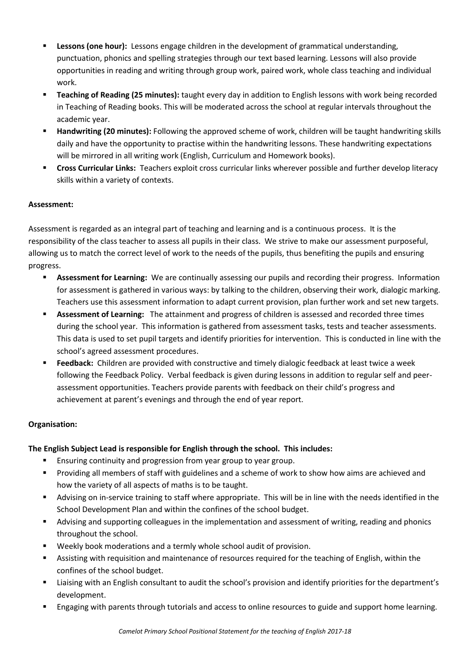- **Lessons (one hour):** Lessons engage children in the development of grammatical understanding, punctuation, phonics and spelling strategies through our text based learning. Lessons will also provide opportunities in reading and writing through group work, paired work, whole class teaching and individual work.
- **Teaching of Reading (25 minutes):** taught every day in addition to English lessons with work being recorded in Teaching of Reading books. This will be moderated across the school at regular intervals throughout the academic year.
- **Handwriting (20 minutes):** Following the approved scheme of work, children will be taught handwriting skills daily and have the opportunity to practise within the handwriting lessons. These handwriting expectations will be mirrored in all writing work (English, Curriculum and Homework books).
- **Cross Curricular Links:** Teachers exploit cross curricular links wherever possible and further develop literacy skills within a variety of contexts.

## **Assessment:**

Assessment is regarded as an integral part of teaching and learning and is a continuous process. It is the responsibility of the class teacher to assess all pupils in their class. We strive to make our assessment purposeful, allowing us to match the correct level of work to the needs of the pupils, thus benefiting the pupils and ensuring progress.

- **Assessment for Learning:** We are continually assessing our pupils and recording their progress. Information for assessment is gathered in various ways: by talking to the children, observing their work, dialogic marking. Teachers use this assessment information to adapt current provision, plan further work and set new targets.
- **Assessment of Learning:** The attainment and progress of children is assessed and recorded three times during the school year. This information is gathered from assessment tasks, tests and teacher assessments. This data is used to set pupil targets and identify priorities for intervention. This is conducted in line with the school's agreed assessment procedures.
- **Feedback:** Children are provided with constructive and timely dialogic feedback at least twice a week following the Feedback Policy. Verbal feedback is given during lessons in addition to regular self and peerassessment opportunities. Teachers provide parents with feedback on their child's progress and achievement at parent's evenings and through the end of year report.

## **Organisation:**

## **The English Subject Lead is responsible for English through the school. This includes:**

- Ensuring continuity and progression from year group to year group.
- **Providing all members of staff with guidelines and a scheme of work to show how aims are achieved and** how the variety of all aspects of maths is to be taught.
- Advising on in-service training to staff where appropriate. This will be in line with the needs identified in the School Development Plan and within the confines of the school budget.
- Advising and supporting colleagues in the implementation and assessment of writing, reading and phonics throughout the school.
- Weekly book moderations and a termly whole school audit of provision.
- Assisting with requisition and maintenance of resources required for the teaching of English, within the confines of the school budget.
- Liaising with an English consultant to audit the school's provision and identify priorities for the department's development.
- Engaging with parents through tutorials and access to online resources to guide and support home learning.